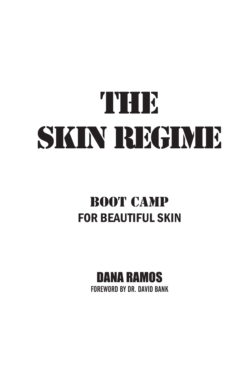# THE SKIN REGIME

## BOOT CAMP FOR BEAUTIFUL SKIN

## DANA RAMOS FOREWORD BY DR. DAVID BANK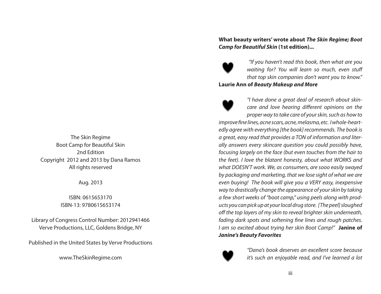The Skin Regime Boot Camp for Beautiful Skin 2nd Edition Copyright 2012 and 2013 by Dana Ramos All rights reserved

Aug. 2013

ISBN: 0615653170 ISBN-13: 9780615653174

Library of Congress Control Number: 2012941466 Verve Productions, LLC, Goldens Bridge, NY

Published in the United States by Verve Productions

www.TheSkinRegime.com

#### **What beauty writers' wrote about** *The Skin Regime; Boot Camp for Beautiful Skin* **(1st edition)...**

*"If you haven't read this book, then what are you waiting for? You will learn so much, even stuff that top skin companies don't want you to know."* **Laurie Ann of** *Beauty Makeup and More*

*"I have done a great deal of research about skincare and love hearing different opinions on the proper way to take care of your skin, such as how to improve fine lines, acne scars, acne, melasma, etc. I whole-heartedly agree with everything [the book] recommends. The book is a great, easy read that provides a TON of information and literally answers every skincare question you could possibly have, focusing largely on the face (but even touches from the hair to the feet). I love the blatant honesty, about what WORKS and what DOESN'T work. We, as consumers, are sooo easily swayed by packaging and marketing, that we lose sight of what we are even buying! The book will give you a VERY easy, inexpensive way to drastically change the appearance of your skin by taking a few short weeks of "boot camp," using peels along with products you can pick up at your local drug store. [The peel] sloughed off the top layers of my skin to reveal brighter skin underneath, fading dark spots and softening fine lines and rough patches. I am so excited about trying her skin Boot Camp!"* **Janine of**  *Janine's Beauty Favorites*



*"Dana's book deserves an excellent score because it's such an enjoyable read, and I've learned a lot*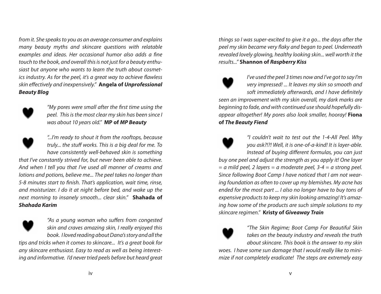*from it. She speaks to you as an average consumer and explains many beauty myths and skincare questions with relatable examples and ideas. Her occasional humor also adds a fine touch to the book, and overall this is not just for a beauty enthusiast but anyone who wants to learn the truth about cosmetics industry. As for the peel, it's a great way to achieve flawless skin effectively and inexpensively."* **Angela of** *Unprofessional Beauty Blog*



*"My pores were small after the first time using the peel. This is the most clear my skin has been since I was about 10 years old."* **MP of** *MP Beauty*



*"...I'm ready to shout it from the rooftops, because truly... the stuff works. This is a big deal for me. To have consistently well-behaved skin is something* 

*that I've constantly strived for, but never been able to achieve. And when I tell you that I've used all manner of creams and lotions and potions, believe me... The peel takes no longer than 5-8 minutes start to finish. That's application, wait time, rinse, and moisturizer. I do it at night before bed, and wake up the next morning to insanely smooth... clear skin."* **Shahada of**  *Shahada Karim*



*"As a young woman who suffers from congested skin and craves amazing skin, I really enjoyed this book. I loved reading about Dana's story and all the* 

*tips and tricks when it comes to skincare... It's a great book for any skincare enthusiast. Easy to read as well as being interesting and informative. I'd never tried peels before but heard great*  *things so I was super-excited to give it a go... the days after the peel my skin became very flaky and began to peel. Underneath revealed lovely glowing, healthy looking skin... well worth it the results..."* **Shannon of** *Raspberry Kiss*

*I've used the peel 3 times now and I've got to say I'm very impressed! ... It leaves my skin so smooth and soft immediately afterwards, and I have definitely seen an improvement with my skin overall, my dark marks are beginning to fade, and with continued use should hopefully disappear altogether! My pores also look smaller, hooray!* **Fiona of** *The Beauty Fiend*

*"I couldn't wait to test out the 1-4-All Peel. Why you ask?!?! Well, it is one-of-a-kind! It is layer-able. Instead of buying different formulas, you can just buy one peel and adjust the strength as you apply it! One layer = a mild peel, 2 layers = a moderate peel, 3-4 = a strong peel. Since following Boot Camp I have noticed that I am not wearing foundation as often to cover up my blemishes. My acne has ended for the most part ... I also no longer have to buy tons of expensive products to keep my skin looking amazing! It's amazing how some of the products are such simple solutions to my skincare regimen."* **Kristy of** *Giveaway Train*



*"The Skin Regime; Boot Camp For Beautiful Skin takes on the beauty industry and reveals the truth about skincare. This book is the answer to my skin* 

*woes. I have some sun damage that I would really like to minimize if not completely eradicate! The steps are extremely easy*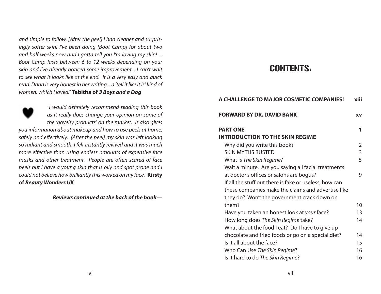*and simple to follow. [After the peel] I had cleaner and surprisingly softer skin! I've been doing [Boot Camp] for about two and half weeks now and I gotta tell you I'm loving my skin! ... Boot Camp lasts between 6 to 12 weeks depending on your skin and I've already noticed some improvement... I can't wait to see what it looks like at the end. It is a very easy and quick read. Dana is very honest in her writing... a 'tell it like it is' kind of women, which I loved."* **Tabitha of** *3 Boys and a Dog*



*"I would definitely recommend reading this book as it really does change your opinion on some of the 'novelty products' on the market. It also gives you information about makeup and how to use peels at home,*  safely and effectively. [After the peel] my skin was left looking *so radiant and smooth. I felt instantly revived and it was much more effective than using endless amounts of expensive face masks and other treatment. People are often scared of face peels but I have a young skin that is oily and spot prone and I could not believe how brilliantly this worked on my face."* **Kirsty of** *Beauty Wonders UK*

#### *Reviews continued at the back of the book—*

## CONTENTS:

| A CHALLENGE TO MAJOR COSMETIC COMPANIES!               | xiii          |
|--------------------------------------------------------|---------------|
| <b>FORWARD BY DR. DAVID BANK</b>                       | <b>XV</b>     |
| <b>PART ONE</b>                                        | 1             |
| <b>INTRODUCTION TO THE SKIN REGIME</b>                 |               |
| Why did you write this book?                           | $\mathcal{L}$ |
| <b>SKIN MYTHS BUSTED</b>                               | 3             |
| What is The Skin Regime?                               | 5             |
| Wait a minute. Are you saying all facial treatments    |               |
| at doctor's offices or salons are bogus?               | 9             |
| If all the stuff out there is fake or useless, how can |               |
| these companies make the claims and advertise like     |               |
| they do? Won't the government crack down on            |               |
| them?                                                  | $10 \,$       |
| Have you taken an honest look at your face?            | 13            |
| How long does The Skin Regime take?                    | 14            |
| What about the food I eat? Do I have to give up        |               |
| chocolate and fried foods or go on a special diet?     | 14            |
| Is it all about the face?                              | 15            |
| Who Can Use The Skin Regime?                           | 16            |
| Is it hard to do The Skin Regime?                      | 16            |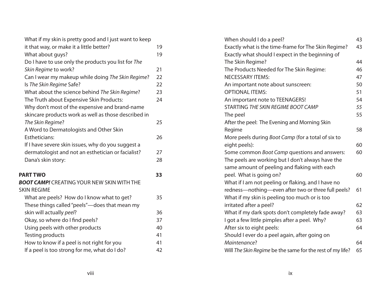| What if my skin is pretty good and I just want to keep |    |
|--------------------------------------------------------|----|
| it that way, or make it a little better?               | 19 |
| What about guys?                                       | 19 |
| Do I have to use only the products you list for The    |    |
| Skin Regime to work?                                   | 21 |
| Can I wear my makeup while doing The Skin Regime?      | 22 |
| Is The Skin Regime Safe?                               | 22 |
| What about the science behind The Skin Regime?         | 23 |
| The Truth about Expensive Skin Products:               | 24 |
| Why don't most of the expensive and brand-name         |    |
| skincare products work as well as those described in   |    |
| The Skin Regime?                                       | 25 |
| A Word to Dermatologists and Other Skin                |    |
| Estheticians:                                          | 26 |
| If I have severe skin issues, why do you suggest a     |    |
| dermatologist and not an esthetician or facialist?     | 27 |
| Dana's skin story:                                     | 28 |
| <b>PART TWO</b>                                        | 33 |
| <b>BOOT CAMP!</b> CREATING YOUR NEW SKIN WITH THE      |    |
| <b>SKIN REGIME</b>                                     |    |
| What are peels? How do I know what to get?             | 35 |
| These things called "peels"—does that mean my          |    |
| skin will actually peel?                               | 36 |
| Okay, so where do I find peels?                        | 37 |
| Using peels with other products                        | 40 |
| <b>Testing products</b>                                | 41 |
| How to know if a peel is not right for you             | 41 |
| If a peel is too strong for me, what do I do?          | 42 |

| When should I do a peel?                                  | 43 |
|-----------------------------------------------------------|----|
| Exactly what is the time-frame for The Skin Regime?       | 43 |
| Exactly what should I expect in the beginning of          |    |
| The Skin Regime?                                          | 44 |
| The Products Needed for The Skin Regime:                  | 46 |
| <b>NECESSARY ITEMS:</b>                                   | 47 |
| An important note about sunscreen:                        | 50 |
| <b>OPTIONAL ITEMS:</b>                                    | 51 |
| An important note to TEENAGERS!                           | 54 |
| STARTING THE SKIN REGIME BOOT CAMP                        | 55 |
| The peel                                                  | 55 |
| After the peel: The Evening and Morning Skin              |    |
| Regime                                                    | 58 |
| More peels during Boot Camp (for a total of six to        |    |
| eight peels):                                             | 60 |
| Some common Boot Camp questions and answers:              | 60 |
| The peels are working but I don't always have the         |    |
| same amount of peeling and flaking with each              |    |
| peel. What is going on?                                   | 60 |
| What if I am not peeling or flaking, and I have no        |    |
| redness-nothing-even after two or three full peels?       | 61 |
| What if my skin is peeling too much or is too             |    |
| irritated after a peel?                                   | 62 |
| What if my dark spots don't completely fade away?         | 63 |
| I got a few little pimples after a peel. Why?             | 63 |
| After six to eight peels:                                 | 64 |
| Should I ever do a peel again, after going on             |    |
| Maintenance?                                              | 64 |
| Will The Skin Regime be the same for the rest of my life? | 65 |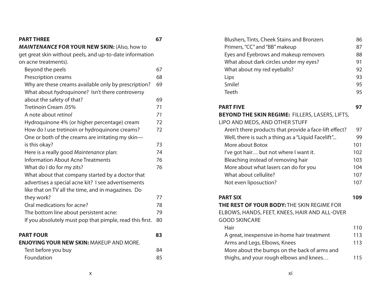| <b>PART THREE</b>                                                                                        | 67 |
|----------------------------------------------------------------------------------------------------------|----|
| <b>MAINTENANCE FOR YOUR NEW SKIN: (Also, how to</b>                                                      |    |
| get great skin without peels, and up-to-date information                                                 |    |
| on acne treatments).                                                                                     |    |
| Beyond the peels                                                                                         | 67 |
| <b>Prescription creams</b>                                                                               | 68 |
| Why are these creams available only by prescription?<br>What about hydroquinone? Isn't there controversy | 69 |
| about the safety of that?                                                                                | 69 |
| <b>Tretinoin Cream .05%</b>                                                                              | 71 |
| A note about retinol                                                                                     | 71 |
| Hydroquinone 4% (or higher percentage) cream                                                             | 72 |
| How do I use tretinoin or hydroquinone creams?                                                           | 72 |
| One or both of the creams are irritating my skin-                                                        |    |
| is this okay?                                                                                            | 73 |
| Here is a really good Maintenance plan:                                                                  | 74 |
| <b>Information About Acne Treatments</b>                                                                 | 76 |
| What do I do for my zits?                                                                                | 76 |
| What about that company started by a doctor that                                                         |    |
| advertises a special acne kit? I see advertisements                                                      |    |
| like that on TV all the time, and in magazines. Do                                                       |    |
| they work?                                                                                               | 77 |
| Oral medications for acne?                                                                               | 78 |
| The bottom line about persistent acne:                                                                   | 79 |
| If you absolutely must pop that pimple, read this first.                                                 | 80 |
| <b>PART FOUR</b>                                                                                         | 83 |
| <b>ENJOYING YOUR NEW SKIN: MAKEUP AND MORE.</b>                                                          |    |
| Test before you buy                                                                                      | 84 |
| Foundation                                                                                               | 85 |

| Blushers, Tints, Cheek Stains and Bronzers             | 86  |
|--------------------------------------------------------|-----|
| Primers, "CC" and "BB" makeup                          | 87  |
| Eyes and Eyebrows and makeup removers                  | 88  |
| What about dark circles under my eyes?                 | 91  |
| What about my red eyeballs?                            | 92  |
| Lips                                                   | 93  |
| Smile!                                                 | 95  |
| <b>Teeth</b>                                           | 95  |
| <b>PART FIVE</b>                                       | 97  |
| <b>BEYOND THE SKIN REGIME: FILLERS, LASERS, LIFTS,</b> |     |
| LIPO AND MEDS, AND OTHER STUFF                         |     |
| Aren't there products that provide a face-lift effect? | 97  |
| Well, there is such a thing as a "Liquid Facelift"     | 99  |
| More about Botox                                       | 101 |
| I've got hair but not where I want it.                 | 102 |
| Bleaching instead of removing hair                     | 103 |
| More about what lasers can do for you                  | 104 |
| What about cellulite?                                  | 107 |
| Not even liposuction?                                  | 107 |
| <b>PART SIX</b>                                        | 109 |
| THE REST OF YOUR BODY: THE SKIN REGIME FOR             |     |
| ELBOWS, HANDS, FEET, KNEES, HAIR AND ALL-OVER          |     |
| <b>GOOD SKINCARE</b>                                   |     |
| Hair                                                   | 110 |
| A great, inexpensive in-home hair treatment            | 113 |
| Arms and Legs, Elbows, Knees                           | 113 |
| More about the bumps on the back of arms and           |     |

thighs, and your rough elbows and knees... 115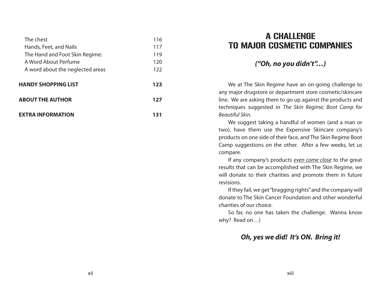| The chest                        | 116 |
|----------------------------------|-----|
| Hands, Feet, and Nails           | 117 |
| The Hand and Foot Skin Regime:   | 119 |
| A Word About Perfume             | 120 |
| A word about the neglected areas | 122 |
| <b>HANDY SHOPPING LIST</b>       | 123 |
| <b>ABOUT THE AUTHOR</b>          | 127 |
|                                  |     |

## A CHALLENGE TO MAJOR COSMETIC COMPANIES

## *("Oh, no you didn't"…)*

We at The Skin Regime have an on-going challenge to any major drugstore or department store cosmetic/skincare line. We are asking them to go up against the products and techniques suggested in *The Skin Regime; Boot Camp for Beautiful Skin.*

We suggest taking a handful of women (and a man or two), have them use the Expensive Skincare company's products on one side of their face, and The Skin Regime Boot Camp suggestions on the other. After a few weeks, let us compare.

If any company's products *even come close* to the great results that can be accomplished with The Skin Regime, we will donate to their charities and promote them in future revisions.

If they fail, we get "bragging rights" and the company will donate to The Skin Cancer Foundation and other wonderful charities of our choice.

So far, no one has taken the challenge. Wanna know why? Read on…)

### *Oh, yes we did! It's ON. Bring it!*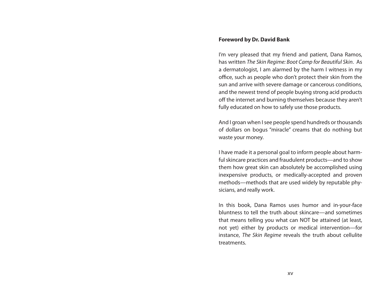#### **Foreword by Dr. David Bank**

I'm very pleased that my friend and patient, Dana Ramos, has written *The Skin Regime: Boot Camp for Beautiful Skin*. As a dermatologist, I am alarmed by the harm I witness in my office, such as people who don't protect their skin from the sun and arrive with severe damage or cancerous conditions, and the newest trend of people buying strong acid products off the internet and burning themselves because they aren't fully educated on how to safely use those products.

And I groan when I see people spend hundreds or thousands of dollars on bogus "miracle" creams that do nothing but waste your money.

I have made it a personal goal to inform people about harmful skincare practices and fraudulent products—and to show them how great skin can absolutely be accomplished using inexpensive products, or medically-accepted and proven methods—methods that are used widely by reputable physicians, and really work.

In this book, Dana Ramos uses humor and in-your-face bluntness to tell the truth about skincare—and sometimes that means telling you what can NOT be attained (at least, not yet) either by products or medical intervention—for instance, *The Skin Regime* reveals the truth about cellulite treatments.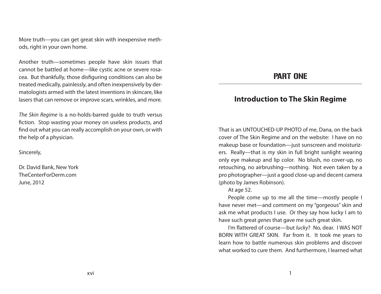More truth—you can get great skin with inexpensive methods, right in your own home.

Another truth—sometimes people have skin issues that cannot be battled at home—like cystic acne or severe rosacea. But thankfully, those disfiguring conditions can also be treated medically, painlessly, and often inexpensively by dermatologists armed with the latest inventions in skincare, like lasers that can remove or improve scars, wrinkles, and more.

*The Skin Regime* is a no-holds-barred guide to truth versus fiction. Stop wasting your money on useless products, and find out what you can really accomplish on your own, or with the help of a physician.

Sincerely,

Dr. David Bank, New York TheCenterForDerm.com June, 2012

## PART ONE

## **Introduction to The Skin Regime**

That is an UNTOUCHED-UP PHOTO of me, Dana, on the back cover of The Skin Regime and on the website: I have on no makeup base or foundation—just sunscreen and moisturizers. Really—that is *my* skin in full bright sunlight wearing only eye makeup and lip color. No blush, no cover-up, no retouching, no airbrushing—nothing. Not even taken by a pro photographer—just a good close-up and decent camera (photo by James Robinson).

#### At age 52.

People come up to me all the time—mostly people I have never met—and comment on my "gorgeous" skin and ask me what products I use. Or they say how lucky I am to have such great *genes* that gave me such great skin.

I'm flattered of course—but *lucky*? No, dear. I WAS NOT BORN WITH GREAT SKIN. Far from it. It took me years to learn how to battle numerous skin problems and discover what worked to cure them. And furthermore, I learned what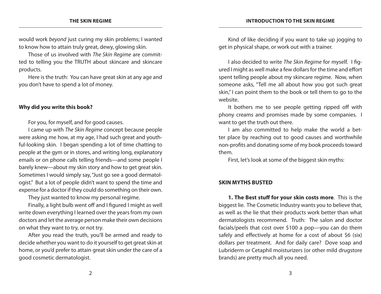would work *beyond* just curing my skin problems; I wanted to know how to attain truly great, dewy, glowing skin.

Those of us involved with *The Skin Regime* are committed to telling you the TRUTH about skincare and skincare products.

Here is the truth: You can have great skin at any age and you don't have to spend a lot of money.

#### **Why did you write this book?**

For you, for myself, and for good causes.

I came up with *The Skin Regime* concept because people were asking me how, at my age, I had such great and youthful-looking skin. I began spending a lot of time chatting to people at the gym or in stores, and writing long, explanatory emails or on phone calls telling friends—and some people I barely knew—about my skin story and how to get great skin. Sometimes I would simply say, "Just go see a good dermatologist." But a lot of people didn't want to spend the time and expense for a doctor if they could do something on their own.

They just wanted to know my personal regime.

Finally, a light bulb went off and I figured I might as well write down everything I learned over the years from my own doctors and let the average person make their own decisions on what they want to try, or not try.

After you read the truth, you'll be armed and ready to decide whether you want to do it yourself to get great skin at home, or you'd prefer to attain great skin under the care of a good cosmetic dermatologist.

Kind of like deciding if you want to take up jogging to get in physical shape, or work out with a trainer.

I also decided to write *The Skin Regime* for myself. I figured I might as well make a few dollars for the time and effort spent telling people about my skincare regime. Now, when someone asks, "Tell me all about how you got such great skin," I can point them to the book or tell them to go to the website.

It bothers me to see people getting ripped off with phony creams and promises made by some companies. I want to get the truth out there.

I am also committed to help make the world a better place by reaching out to good causes and worthwhile non-profits and donating some of my book proceeds toward them.

First, let's look at some of the biggest skin myths:

#### **SKIN MYTHS BUSTED**

**1. The Best stuff for your skin costs more**. This is the biggest lie. The Cosmetic Industry wants you to believe that, as well as the lie that their products work better than what dermatologists recommend. Truth: The salon and doctor facials/peels that cost over \$100 a pop—you can do them safely and effectively at home for a cost of about \$6 (six) dollars per treatment. And for daily care? Dove soap and Lubriderm or Cetaphil moisturizers (or other mild drugstore brands) are pretty much all you need.

2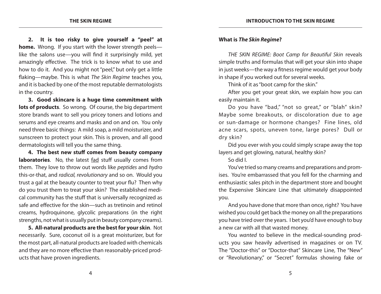**2. It is too risky to give yourself a "peel" at home.** Wrong. If you start with the lower strength peels like the salons use—you will find it surprisingly mild, yet amazingly effective. The trick is to know what to use and how to do it. And you might not "peel," but only get a little flaking—maybe. This is what *The Skin Regime* teaches you, and it is backed by one of the most reputable dermatologists in the country.

**3. Good skincare is a huge time commitment with**  lots of products. So wrong. Of course, the big department store brands want to sell you pricey toners and lotions and serums and eye creams and masks and on and on. You only need three basic things: A mild soap, a mild moisturizer, and sunscreen to protect your skin. This is proven, and all good dermatologists will tell you the same thing.

**4. The best new stuff comes from beauty company**  laboratories. No, the latest fad stuff usually comes from them. They love to throw out words like *peptides* and *hydro* this-or-that, and *radical, revolutionary* and so on. Would you trust a gal at the beauty counter to treat your flu? Then why do you trust them to treat your skin? The established medical community has the stuff that is universally recognized as safe and effective for the skin—such as tretinoin and retinol creams, hydroquinone, glycolic preparations (in the right strengths, not what is usually put in beauty company creams).

**5. All-natural products are the best for your skin**. Not necessarily. Sure, coconut oil is a great moisturizer, but for the most part, all-natural products are loaded with chemicals and they are no more effective than reasonably-priced products that have proven ingredients.

#### **What is** *The Skin Regime***?**

*THE SKIN REGIME: Boot Camp for Beautiful Skin* reveals simple truths and formulas that will get your skin into shape in just weeks—the way a fitness regime would get your body in shape if you worked out for several weeks.

Think of it as "boot camp for the skin."

After you get your great skin, we explain how you can easily maintain it.

Do you have "bad," "not so great," or "blah" skin? Maybe some breakouts, or discoloration due to age or sun-damage or hormone changes? Fine lines, old acne scars, spots, uneven tone, large pores? Dull or dry skin?

Did you ever wish you could simply scrape away the top layers and get glowing, natural, healthy skin?

So did I.

You've tried so many creams and preparations and promises. You're embarrassed that you fell for the charming and enthusiastic sales pitch in the department store and bought the Expensive Skincare Line that ultimately disappointed you.

And you have done that more than once, right? You have wished you could get back the money on all the preparations you have tried over the years. I bet you'd have enough to buy a new car with all that wasted money.

You *wanted* to believe in the medical-sounding products you saw heavily advertised in magazines or on TV. The "Doctor-this" or "Doctor-that" Skincare Line, The "New" or "Revolutionary," or "Secret" formulas showing fake or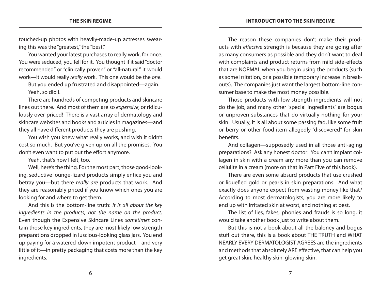touched-up photos with heavily-made-up actresses swearing this was the "greatest," the "best."

You wanted your latest purchases to really work, for once. You were seduced, you fell for it. You thought if it said "doctor recommended" or "clinically proven" or "all-natural," it would work—it would really *really* work. This one would be the *one*.

But you ended up frustrated and disappointed—again. Yeah, so did I.

There are hundreds of competing products and skincare lines out there. And most of them are so *expensive,* or ridiculously over-priced! There is a vast array of dermatology and skincare websites and books and articles in magazines—and they all have different products they are pushing.

You wish you knew what really works, and wish it didn't cost so much. But you've given up on all the promises. You don't even want to put out the effort anymore.

Yeah, that's how I felt, too.

Well, here's the thing. For the most part, those good-looking, seductive lounge-lizard products simply entice you and betray you—but there *really are* products that work. And they are reasonably priced if you know which ones you are looking for and where to get them.

And this is the bottom-line truth: *It is all about the key ingredients in the products, not the name on the product.* Even though the Expensive Skincare Lines *sometimes* contain those key ingredients, they are most likely low-strength preparations dropped in luscious-looking glass jars. You end up paying for a watered-down impotent product—and very little of it—in pretty packaging that costs more than the key ingredients.

The reason these companies don't make their products with *effective* strength is because they are going after as many consumers as possible and they don't want to deal with complaints and product returns from mild side-effects that are NORMAL when you begin using the products (such as some irritation, or a possible temporary increase in breakouts). The companies just want the largest bottom-line consumer base to make the most money possible.

Those products with low-strength ingredients will not do the job, and many other "special ingredients" are bogus or unproven substances that do virtually nothing for your skin. Usually, it is all about some passing fad, like some fruit or berry or other food-item allegedly "discovered" for skin benefits.

And collagen—supposedly used in all those anti-aging preparations? Ask any honest doctor: You can't implant collagen in skin with a cream any more than you can remove cellulite in a cream (more on that in Part Five of this book).

There are even some absurd products that use crushed or liquefied gold or pearls in skin preparations. And what exactly does anyone expect from wasting money like that? According to most dermatologists, you are more likely to end up with irritated skin at worst, and nothing at best.

The list of lies, fakes, phonies and frauds is so long, it would take another book just to write about them.

But this is not a book about all the baloney and bogus stuff out there, this is a book about THE TRUTH and WHAT NEARLY EVERY DERMATOLOGIST AGREES are the ingredients and methods that absolutely ARE effective, that can help you get great skin, healthy skin, glowing skin.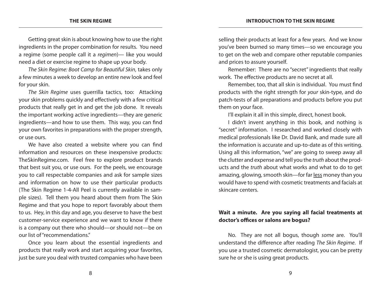Getting great skin is about knowing how to use the right ingredients in the proper combination for results. You need a regime (some people call it a *regimen*)— like you would need a diet or exercise regime to shape up your body.

*The Skin Regime: Boot Camp for Beautiful Skin*, takes only a few minutes a week to develop an entire new look and feel for your skin.

*The Skin Regime* uses guerrilla tactics, too: Attacking your skin problems quickly and effectively with a few critical products that really get in and get the job done. It reveals the important working active ingredients—they are generic ingredients—and how to use them. This way, you can find your own favorites in preparations with the proper strength, or use ours.

We have also created a website where you can find information and resources on these inexpensive products: TheSkinRegime.com. Feel free to explore product brands that best suit you, or use ours. For the peels, we encourage you to call respectable companies and ask for sample sizes and information on how to use their particular products (The Skin Regime 1-4-All Peel is currently available in sample sizes). Tell them you heard about them from The Skin Regime and that you hope to report favorably about them to us. Hey, in this day and age, you deserve to have the best customer-service experience and we want to know if there is a company out there who should—or should not—be on our list of "recommendations."

Once you learn about the essential ingredients and products that really work and start acquiring your favorites, just be sure you deal with trusted companies who have been selling their products at least for a few years. And we know you've been burned so many times—so we encourage you to get on the web and compare other reputable companies and prices to assure yourself.

Remember: There are no "secret" ingredients that really work. The effective products are no secret at all.

Remember, too, that all skin is individual. You must find products with the right strength for *your* skin-type, and do patch-tests of all preparations and products before you put them on your face.

I'll explain it all in this simple, direct, honest book.

I didn't invent anything in this book, and nothing is "secret" information. I researched and worked closely with medical professionals like Dr. David Bank, and made sure all the information is accurate and up-to-date as of this writing. Using all this information, "we" are going to sweep away all the clutter and expense and tell you the *truth* about the products and the *truth* about what works and what to do to get amazing, glowing, smooth skin—for far less money than you would have to spend with cosmetic treatments and facials at skincare centers.

#### **Wait a minute. Are you saying all facial treatments at doctor's offices or salons are bogus?**

No. They are not all bogus, though *some* are. You'll understand the difference after reading *The Skin Regime*. If you use a trusted cosmetic dermatologist, you can be pretty sure he or she is using great products.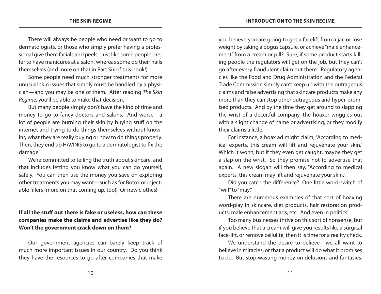There will always be people who need or want to go to dermatologists, or those who simply prefer having a professional give them facials and peels. Just like some people prefer to have manicures at a salon, whereas some do their nails themselves (and more on that in Part Six of this book!)

Some people need much stronger treatments for more unusual skin issues that simply must be handled by a physician—and you may be one of them. After reading *The Skin Regime*, you'll be able to make that decision.

But many people simply don't have the kind of time and money to go to fancy doctors and salons. And worse—a lot of people are burning their skin by buying stuff on the internet and trying to do things themselves without knowing what they are really buying or how to do things properly. Then, they end up HAVING to go to a dermatologist to fix the damage!

We're committed to telling the truth about skincare, and that includes letting you know what you can do yourself, safely. You can then use the money you save on exploring other treatments you may want—such as for Botox or injectable fillers (more on that coming up, too!) Or new clothes!

**If all the stuff out there is fake or useless, how can these companies make the claims and advertise like they do? Won't the government crack down on them?**

Our government agencies can barely keep track of much more important issues in our country. Do you think they have the resources to go after companies that make you believe you are going to get a facelift from a jar, or lose weight by taking a bogus capsule, or achieve "male enhancement" from a cream or pill? Sure, if some product starts killing people the regulators will get on the job, but they can't go after every fraudulent claim out there. Regulatory agencies like the Food and Drug Administration and the Federal Trade Commission simply can't keep up with the outrageous claims and false advertising that skincare products make any more than they can stop other outrageous and hyper-promised products. And by the time they get around to slapping the wrist of a deceitful company, the hoaxer wriggles out with a slight change of name or advertising, or they modify their claims a little.

For instance, a hoax ad might claim, "According to medical experts, this cream will lift and rejuvenate your skin." Which it won't, but if they even get caught, maybe they get a slap on the wrist. So they promise not to advertise that again. A new slogan will then say, "According to medical experts, this cream may lift and rejuvenate your skin."

Did you catch the difference? One little word-switch of "will" to "may."

There are numerous examples of that sort of hoaxing word-play in skincare, diet products, hair restoration products, male enhancement ads, etc. And even in politics!

Too many businesses thrive on this sort of nonsense, but if you believe that a cream will give you results like a surgical face-lift, or remove cellulite, then it is time for a reality check.

We understand the desire to believe—we all want to believe in miracles, or that a product will do what it promises to do. But stop wasting money on delusions and fantasies.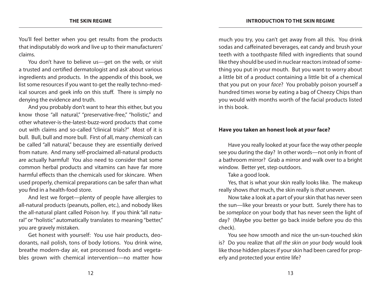You'll feel better when you get results from the products that indisputably do work and live up to their manufacturers' claims.

You don't have to believe us—get on the web, or visit a trusted and certified dermatologist and ask about various ingredients and products. In the appendix of this book, we list some resources if you want to get the really techno-medical sources and geek info on this stuff. There is simply no denying the evidence and truth.

And you probably don't want to hear this either, but you know those "all natural," "preservative-free," "holistic," and other whatever-is-the-latest-buzz-word products that come out with claims and so-called "clinical trials?" Most of it is bull. Bull, bull and more bull. First of all, many *chemicals* can be called "all natural," because they are essentially derived from nature. And many self-proclaimed all-natural products are actually harmful! You also need to consider that some common herbal products and vitamins can have far more harmful effects than the chemicals used for skincare. When used properly, chemical preparations can be safer than what you find in a health-food store.

And lest we forget—plenty of people have allergies to all-natural products (peanuts, pollen, etc.), and nobody likes the all-natural plant called Poison Ivy. If you think "all natural" or "holistic" automatically translates to meaning "better," you are gravely mistaken.

Get honest with yourself: You use hair products, deodorants, nail polish, tons of body lotions. You drink wine, breathe modern-day air, eat processed foods and vegetables grown with chemical intervention—no matter how much you try, you can't get away from all this. You drink sodas and caffeinated beverages, eat candy and brush your teeth with a toothpaste filled with ingredients that sound like they should be used in nuclear reactors instead of something you put in your mouth. But you want to worry about a little bit of a product containing a little bit of a chemical that you put on your *face*? You probably poison yourself a hundred times worse by eating a bag of Cheezy Chips than you would with months worth of the facial products listed in this book.

#### **Have you taken an honest look at** *your* **face?**

Have you really looked at your face the way other people see you during the day? In other words—not only in front of a bathroom mirror? Grab a mirror and walk over to a bright window. Better yet, step outdoors.

Take a good look.

Yes, that is what your skin really looks like. The makeup really shows *that* much, the skin really is *that* uneven.

Now take a look at a part of your skin that has never seen the sun—like your breasts or your butt. Surely there has to be *someplace* on your body that has never seen the light of day? (Maybe you better go back inside before you do this check).

You see how smooth and nice the un-sun-touched skin is? Do you realize that *all the skin on your body* would look like those hidden places if your skin had been cared for properly and protected your entire life?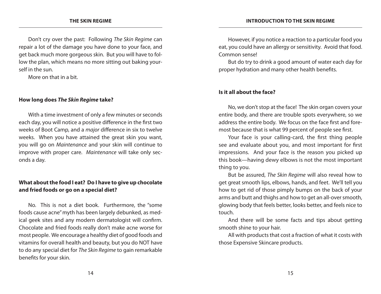Don't cry over the past: Following *The Skin Regime* can repair a lot of the damage you have done to your face, and get back much more gorgeous skin. But you will have to follow the plan, which means no more sitting out baking yourself in the sun.

More on that in a bit.

#### **How long does** *The Skin Regime* **take?**

With a time investment of only a few minutes or seconds each day, you will notice a positive difference in the first two weeks of Boot Camp, and a *major* difference in six to twelve weeks. When you have attained the great skin you want, you will go on *Maintenance* and your skin will continue to improve with proper care. *Maintenance* will take only seconds a day.

#### **What about the food I eat? Do I have to give up chocolate and fried foods or go on a special diet?**

No. This is not a diet book. Furthermore, the "some foods cause acne" myth has been largely debunked, as medical geek sites and any modern dermatologist will confirm. Chocolate and fried foods really don't make acne worse for most people. We encourage a healthy diet of good foods and vitamins for overall health and beauty, but you do NOT have to do any special diet for *The Skin Regime* to gain remarkable benefits for your skin.

However, if you notice a reaction to a particular food you eat, you could have an allergy or sensitivity. Avoid that food. Common sense!

But do try to drink a good amount of water each day for proper hydration and many other health benefits.

#### **Is it all about the face?**

No, we don't stop at the face! The skin organ covers your entire body, and there are trouble spots everywhere, so we address the entire body. We focus on the face first and foremost because that is what 99 percent of people see first.

Your face is your calling-card, the first thing people see and evaluate about you, and most important for first impressions. And your face is the reason you picked up this book—having dewy elbows is not the most important thing to you.

But be assured, *The Skin Regime* will also reveal how to get great smooth lips, elbows, hands, and feet. We'll tell you how to get rid of those pimply bumps on the back of your arms and butt and thighs and how to get an all-over smooth, glowing body that feels better, looks better, and feels nice to touch.

And there will be some facts and tips about getting smooth shine to your hair.

All with products that cost a fraction of what it costs with those Expensive Skincare products.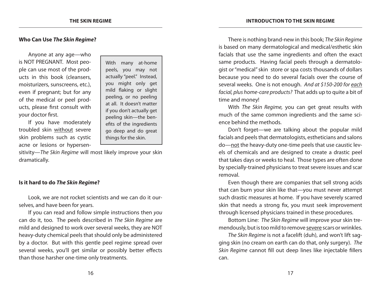#### **Who Can Use** *The Skin Regime***?**

Anyone at any age—who is NOT PREGNANT. Most people can use most of the products in this book (cleansers, moisturizers, sunscreens, etc.), even if pregnant; but for any of the medical or peel products, please first consult with your doctor first.

If you have moderately troubled skin without severe skin problems such as cystic acne or lesions or hypersenWith many at-home peels, you may not actually "peel." Instead, you might only get mild flaking or slight peeling, or no peeling at all. It doesn't matter if you don't actually get peeling skin—the benefits of the ingredients go deep and do great things for the skin.

sitivity—*The Skin Regime* will most likely improve your skin dramatically.

#### **Is it hard to do** *The Skin Regime***?**

Look, we are not rocket scientists and we can do it ourselves, and have been for years.

If you can read and follow simple instructions then *you* can do it, too. The peels described in *The Skin Regime* are mild and designed to work over several weeks, they are NOT heavy-duty chemical peels that should only be administered by a doctor. But with this gentle peel regime spread over several weeks, you'll get similar or possibly better effects than those harsher one-time only treatments.

There is nothing brand-new in this book; *The Skin Regime* is based on many dermatological and medical/esthetic skin facials that use the same ingredients and often the exact same products. Having facial peels through a dermatologist or "medical" skin store or spa costs thousands of dollars because you need to do several facials over the course of several weeks. One is not enough. *And at \$150-200 for each facial, plus home-care products?* That adds up to quite a bit of time and money!

With *The Skin Regime,* you can get great results with much of the same common ingredients and the same science behind the methods.

Don't forget—we are talking about the popular mild facials and peels that dermatologists, estheticians and salons do—not the heavy-duty one-time peels that use caustic levels of chemicals and are designed to create a drastic peel that takes days or weeks to heal. Those types are often done by specially-trained physicians to treat severe issues and scar removal.

Even though there are companies that sell strong acids that can burn your skin like that—you must never attempt such drastic measures at home. If you have severely scarred skin that needs a strong fix, you must seek improvement through licensed physicians trained in these procedures.

Bottom Line: *The Skin Regime* will improve your skin tremendously, but is too mild to remove severe scars or wrinkles.

*The Skin Regime* is not a facelift (duh), and won't lift sagging skin (no cream on earth can do that, only surgery). *The Skin Regime* cannot fill out deep lines like injectable fillers can.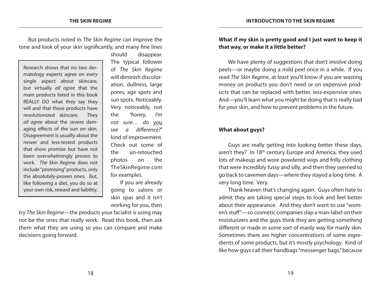But products noted in *The Skin Regime* can improve the tone and look of your skin significantly, and many fine lines

Research shows that no two dermatology experts agree on *every*  single aspect about skincare, but virtually *all agree* that the main products listed in this book REALLY DO what they say they will and that these products have revolutionized skincare. They *all agree* about the severe damaging effects of the sun on skin. Disagreement is usually about the newer and less-tested products that show promise but have not been overwhelmingly proven to work. *The Skin Regime* does not include "promising" products, only the absolutely-proven ones. But, like following a diet, you do so at your own risk, reward and liability.

should disappear. The typical follower of *The Skin Regime* will diminish discoloration, dullness, large pores, age spots and sun spots. Noticeably. Very noticeably, not the *"honey, I'm not sure… do* you *see a difference?*" kind of improvement. Check out some of the un-retouched photos on the TheSkinRegime.com for examples.

If you are already going to salons or skin spas and it *isn't* working for you, then

try *The Skin Regime*—the products your facialist is using may *not* be the ones that really work. Read this book, then ask them what they are using so you can compare and make decisions going forward.

#### **What if my skin is pretty good and I just want to keep it that way, or make it a little better?**

We have plenty of suggestions that don't involve doing peels—or maybe doing a mild peel once in a while. If you read *The Skin Regime*, at least you'll know if you are wasting money on products you don't need or on expensive products that can be replaced with better, less-expensive ones. And—you'll learn what you might be doing that is really bad for your skin, and how to prevent problems in the future.

#### **What about guys?**

Guys are really getting into looking better these days, aren't they? In 18<sup>th</sup> century Europe and America, they used lots of makeup and wore powdered wigs and frilly clothing that were incredibly fussy and silly, and then they seemed to go back to cavemen days—where they stayed a long time. A very long time. Very.

Thank heaven that's changing again. Guys often hate to admit they are taking special steps to look and feel better about their appearance. And they don't want to use "women's stuff"—so cosmetic companies slap a man-label on their moisturizers and the guys think they are getting something different or made in some sort of manly way for manly skin. Sometimes there are higher concentrations of some ingredients of some products, but it's mostly psychology. Kind of like how guys call their handbags "messenger bags," because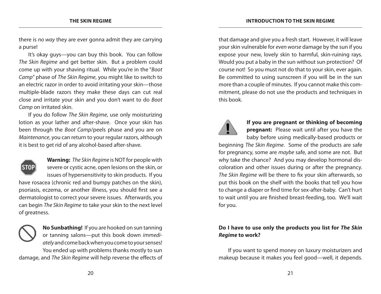there is *no way* they are ever gonna admit they are carrying a purse!

It's okay guys—you can buy this book. You can follow *The Skin Regime* and get better skin. But a problem could come up with your shaving ritual. While you're in the "*Boot Camp"* phase of *The Skin Regime*, you might like to switch to an electric razor in order to avoid irritating your skin—those multiple-blade razors they make these days can cut real close and irritate your skin and you don't want to do *Boot Camp* on irritated skin.

If you do follow *The Skin Regime*, use only moisturizing lotion as your lather and after-shave. Once your skin has been through the *Boot Camp*/peels phase and you are on *Maintenance*, you can return to your regular razors, although it is best to get rid of any alcohol-based after-shave.



**Warning:** *The Skin Regime* is NOT for people with severe or cystic acne, open lesions on the skin, or issues of hypersensitivity to skin products. If you have rosacea (chronic red and bumpy patches on the skin),

psoriasis, eczema, or another illness, you should first see a dermatologist to correct your severe issues. Afterwards, you can begin *The Skin Regime* to take your skin to the next level of greatness.



**No Sunbathing!** If you are hooked on sun tanning or tanning salons—put this book down *immediately* and come back when you come to your senses! You ended up with problems thanks mostly to sun

damage, and *The Skin Regime* will help reverse the effects of

that damage and give you a fresh start. However, it will leave your skin vulnerable for *even worse* damage by the sun if you expose your new, lovely skin to harmful, skin-ruining rays. Would you put a baby in the sun without sun protection? Of course not! So you must not do that to your skin, ever again. Be committed to using sunscreen if you will be in the sun more than a couple of minutes. If you cannot make this commitment, please do not use the products and techniques in this book.



**If you are pregnant or thinking of becoming pregnant:** Please wait until after you have the baby before using medically-based products or

beginning *The Skin Regime*. Some of the products are safe for pregnancy, some are *maybe* safe, and some are not. But why take the chance? And you may develop hormonal discoloration and other issues during or after the pregnancy. *The Skin Regime* will be there to fix your skin afterwards, so put this book on the shelf with the books that tell you how to change a diaper or find time for sex-after-baby. Can't hurt to wait until you are finished breast-feeding, too. We'll wait for you.

#### **Do I have to use only the products you list for** *The Skin Regime* **to work?**

If you want to spend money on luxury moisturizers and makeup because it makes you feel good—well, it depends.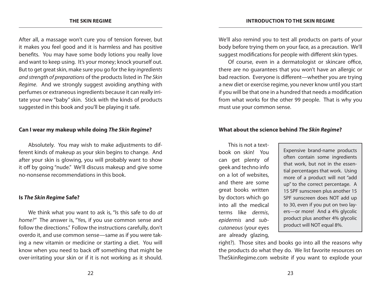After all, a massage won't cure you of tension forever, but it makes you feel good and it is harmless and has positive benefits. You may have some body lotions you really love and want to keep using. It's your money; knock yourself out. But to get great skin, make sure you go for the *key ingredients and strength of preparations* of the products listed in *The Skin Regime*. And we strongly suggest avoiding anything with perfumes or extraneous ingredients because it can really irritate your new "baby" skin. Stick with the kinds of products suggested in this book and you'll be playing it safe.

#### **Can I wear my makeup while doing** *The Skin Regime***?**

Absolutely. You may wish to make adjustments to different kinds of makeup as your skin begins to change. And after your skin is glowing, you will probably want to show it off by going "nude." We'll discuss makeup and give some no-nonsense recommendations in this book.

#### **Is** *The Skin Regime* **Safe?**

We think what you want to ask is, "Is this safe to do *at home?"* The answer is, "Yes, if you use common sense and follow the directions." Follow the instructions carefully, don't overdo it, and use common sense—same as if you were taking a new vitamin or medicine or starting a diet. You will know when you need to back off something that might be over-irritating your skin or if it is not working as it should. We'll also remind you to test all products on parts of your body before trying them on your face, as a precaution. We'll suggest modifications for people with different skin types.

Of course, even in a dermatologist or skincare office, there are no guarantees that you won't have an allergic or bad reaction. Everyone is different—whether you are trying a new diet or exercise regime, you never know until you start if you will be that one in a hundred that needs a modification from what works for the other 99 people. That is why you must use your common sense.

#### **What about the science behind** *The Skin Regime***?**

This is not a textbook on skin! You can get plenty of geek and techno info on a lot of websites, and there are some great books written by doctors which go into all the medical terms like *dermis*, *epidermis* and *subcutaneous* (your eyes are already glazing,

Expensive brand-name products often contain some ingredients that work, but not in the essential percentages that work. Using more of a product will not "add up" to the correct percentage. A 15 SPF sunscreen plus another 15 SPF sunscreen does NOT add up to 30, even if you put on two layers—or more! And a 4% glycolic product plus another 4% glycolic product will NOT equal 8%.

right?). Those sites and books go into all the reasons why the products do what they do. We list favorite resources on TheSkinRegime.com website if you want to explode your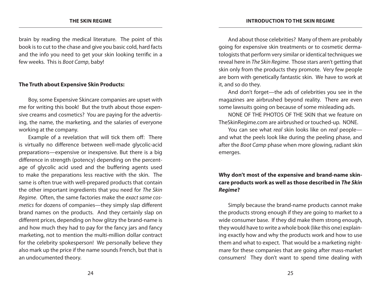**Introduction to The Skin Regime**

brain by reading the medical literature. The point of this book is to cut to the chase and give you basic cold, hard facts and the info you need to get your skin looking terrific in a few weeks. This is *Boot Camp*, baby!

#### **The Truth about Expensive Skin Products:**

Boy, some Expensive Skincare companies are upset with me for writing this book! But the truth about those expensive creams and cosmetics? You are paying for the advertising, the name, the marketing, and the salaries of everyone working at the company.

Example of a revelation that will tick them off: There is virtually no difference between well-made glycolic-acid preparations—expensive or inexpensive. But there is a big difference in strength (potency) depending on the percentage of glycolic acid used and the buffering agents used to make the preparations less reactive with the skin. The same is often true with well-prepared products that contain the other important ingredients that you need for *The Skin Regime*. Often, the same factories make the *exact same cosmetics* for dozens of companies—they simply slap different brand names on the products. And they certainly slap on different prices, depending on how glitzy the brand-name is and how much they had to pay for the fancy jars and fancy marketing, not to mention the multi-million dollar contract for the celebrity spokesperson! We personally believe they also mark up the price if the name sounds French, but that is an undocumented theory.

And about those celebrities? Many of them are probably going for expensive skin treatments or to cosmetic dermatologists that perform very similar or identical techniques we reveal here in *The Skin Regime*. Those stars aren't getting that skin only from the products they promote. Very few people are born with genetically fantastic skin. We have to work at it, and so do they.

And don't forget—the ads of celebrities you see in the magazines are airbrushed beyond reality. There are even some lawsuits going on because of some misleading ads.

NONE OF THE PHOTOS OF THE SKIN that we feature on TheSkinRegime.com are airbrushed or touched-up. NONE.

You can see what *real* skin looks like on *real* people and what the peels look like during the peeling phase, and after the *Boot Camp* phase when more glowing, radiant skin emerges.

#### **Why don't most of the expensive and brand-name skincare products work as well as those described in** *The Skin Regime***?**

Simply because the brand-name products cannot make the products strong enough if they are going to market to a wide consumer base. If they did make them strong enough, they would have to write a whole book (like this one) explaining exactly how and why the products work and how to use them and what to expect. That would be a marketing nightmare for these companies that are going after mass-market consumers! They don't want to spend time dealing with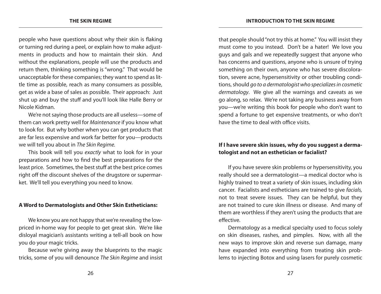people who have questions about why their skin is flaking or turning red during a peel, or explain how to make adjustments in products and how to maintain their skin. And without the explanations, people will use the products and return them, thinking something is "wrong." That would be unacceptable for these companies; they want to spend as little time as possible, reach as many consumers as possible, get as wide a base of sales as possible. Their approach: Just shut up and buy the stuff and you'll look like Halle Berry or Nicole Kidman.

We're not saying those products are all useless—some of them can work pretty well for *Maintenance* if you know what to look for. But why bother when you can get products that are far less expensive and work far better for you—products we will tell you about in *The Skin Regime.*

This book will tell you *exactly* what to look for in your preparations and how to find the best preparations for the least price. Sometimes, the best stuff at the best price comes right off the discount shelves of the drugstore or supermarket. We'll tell you everything you need to know.

#### **A Word to Dermatologists and Other Skin Estheticians:**

We know you are not happy that we're revealing the lowpriced in-home way for people to get great skin. We're like disloyal magician's assistants writing a tell-all book on how you do your magic tricks.

Because we're giving away the blueprints to the magic tricks, some of you will denounce *The Skin Regime* and insist that people should "not try this at home." You will insist they must come to you instead. Don't be a hater! We love you guys and gals and we repeatedly suggest that anyone who has concerns and questions, anyone who is unsure of trying something on their own, anyone who has severe discoloration, severe acne, hypersensitivity or other troubling conditions, should *go to a dermatologist who specializes in cosmetic dermatology*. We give all the warnings and caveats as we go along, so relax. We're not taking any business away from you—we're writing this book for people who don't want to spend a fortune to get expensive treatments, or who don't have the time to deal with office visits.

#### **If I have severe skin issues, why do you suggest a dermatologist and not an esthetician or facialist?**

If you have severe skin problems or hypersensitivity, you really should see a dermatologist—a medical doctor who is highly trained to treat a variety of skin issues, including skin cancer. Facialists and estheticians are trained to give *facials,*  not to treat severe issues. They can be helpful, but they are not trained to cure skin illness or disease. And many of them are worthless if they aren't using the products that are effective.

Dermatology as a medical specialty used to focus solely on skin diseases, rashes, and pimples. Now, with all the new ways to improve skin and reverse sun damage, many have expanded into everything from treating skin problems to injecting Botox and using lasers for purely cosmetic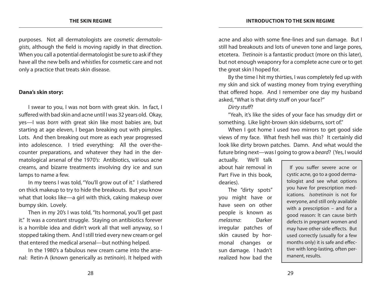**Introduction to The Skin Regime**

purposes. Not all dermatologists are *cosmetic dermatologists*, although the field is moving rapidly in that direction. When you call a potential dermatologist be sure to ask if they have all the new bells and whistles for cosmetic care and not only a practice that treats skin disease.

#### **Dana's skin story:**

I swear to you, I was not born with great skin. In fact, I suffered with bad skin and acne until I was 32 years old. Okay, yes—I was *born* with great skin like most babies are, but starting at age eleven, I began breaking out with pimples. Lots. And then breaking out more as each year progressed into adolescence. I tried everything: All the over-thecounter preparations, and whatever they had in the dermatological arsenal of the 1970's: Antibiotics, various acne creams, and bizarre treatments involving dry ice and sun lamps to name a few.

In my teens I was told, "You'll grow out of it." I slathered on thick makeup to try to hide the breakouts. But you know what that looks like—a girl with thick, caking makeup over bumpy skin. Lovely.

Then in my 20's I was told, "Its hormonal, you'll get past it." It was a constant struggle. Staying on antibiotics forever is a horrible idea and didn't work all that well anyway, so I stopped taking them. And I still tried every new cream or gel that entered the medical arsenal—but nothing helped.

In the 1980's a fabulous new cream came into the arsenal: Retin-A (known generically as *tretinoin*). It helped with acne and also with some fine-lines and sun damage. But I still had breakouts and lots of uneven tone and large pores, etcetera. *Tretinoin* is a fantastic product (more on this later), but not enough weaponry for a complete acne cure or to get the great skin I hoped for.

By the time I hit my thirties, I was completely fed up with my skin and sick of wasting money from trying everything that offered hope. And I remember one day my husband asked, "What is that dirty stuff on your face?"

#### *Dirty stuff*?

"Yeah, it's like the sides of your face has smudgy dirt or something. Like light-brown skin sideburns, sort of."

When I got home I used two mirrors to get good side views of my face. What fresh hell was *this*? It certainly did look like dirty brown patches. Damn. And what would the future bring next—was I going to grow a *beard*? (Yes, I would

actually. We'll talk about hair removal in Part Five in this book, dearies).

The "dirty spots" you might have or have seen on other people is known as *melasma*: Darker irregular patches of skin caused by hormonal changes or sun damage. I hadn't realized how bad the

 If you suffer severe acne or cystic acne, go to a good dermatologist and see what options you have for prescription medications. *Isotretinoin* is not for everyone, and still only available with a prescription – and for a good reason: It can cause birth defects in pregnant women and may have other side effects. But used correctly (usually for a few months only) it is safe and effective with long-lasting, often permanent, results.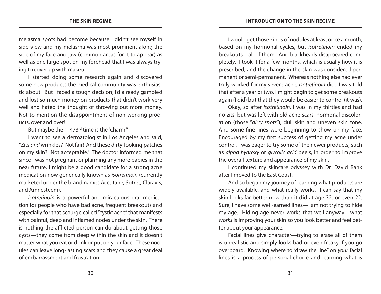melasma spots had become because I didn't see myself in side-view and my melasma was most prominent along the side of my face and jaw (common areas for it to appear) as well as one large spot on my forehead that I was always trying to cover up with makeup.

I started doing some research again and discovered some new products the medical community was enthusiastic about. But I faced a tough decision; I'd already gambled and lost so much money on products that didn't work very well and hated the thought of throwing out more money. Not to mention the disappointment of non-working products, over and over!

But maybe the 1, 473 $rd$  time is the "charm."

I went to see a dermatologist in Los Angeles and said, "Zits *and* wrinkles? Not fair! And these dirty-looking patches on my skin? Not acceptable." The doctor informed me that since I was not pregnant or planning any more babies in the near future, I might be a good candidate for a strong acne medication now generically known as *isotretinoin* (currently marketed under the brand names Accutane, Sotret, Claravis, and Amnesteem).

*Isotretinoin* is a powerful and miraculous oral medication for people who have bad acne, frequent breakouts and especially for that scourge called "cystic acne" that manifests with painful, deep and inflamed nodes under the skin. There is nothing the afflicted person can do about getting those cysts—they come from deep within the skin and it doesn't matter what you eat or drink or put on your face. These nodules can leave long-lasting scars and they cause a great deal of embarrassment and frustration.

I would get those kinds of nodules at least once a month, based on my hormonal cycles, but *isotretinoin* ended my breakouts—all of them. And blackheads disappeared completely. I took it for a few months, which is usually how it is prescribed, and the change in the skin was considered permanent or semi-permanent. Whereas nothing else had ever truly worked for my severe acne, *isotretinoin* did. I was told that after a year or two, I might begin to get some breakouts again (I did) but that they would be easier to control (it was).

Okay, so after *isotretinoin*, I was in my thirties and had no zits, but was left with old acne scars, hormonal discoloration (those "*dirty spots"*), dull skin and uneven skin tone. And some fine lines were beginning to show on my face. Encouraged by my first success of getting my acne under control, I was eager to try some of the newer products, such as *alpha hydroxy* or *glycolic acid* peels, in order to improve the overall texture and appearance of my skin.

I continued my skincare odyssey with Dr. David Bank after I moved to the East Coast.

And so began my journey of learning what products are widely available, and what really works. I can say that my skin looks far better now than it did at age 32, or even 22. Sure, I have some well-earned lines—I am not trying to hide my age. Hiding age never works that well anyway—what *works* is improving your skin so you look better and feel better about your appearance.

Facial lines give character—trying to erase all of them is unrealistic and simply looks bad or even freaky if you go overboard. Knowing where to "draw the line" on *your* facial lines is a process of personal choice and learning what is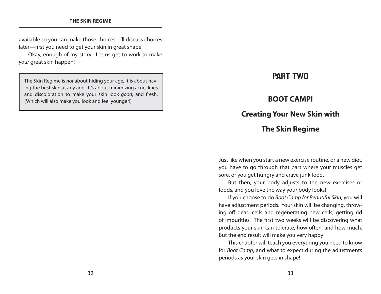available so you can make those choices. I'll discuss choices later—first you need to get your skin in great shape.

Okay, enough of my story. Let us get to work to make *your* great skin happen!

The Skin Regime is *not* about hiding your age, it is about having the best skin at any age. It's about minimizing acne, lines and discoloration to make your skin look *good*, and fresh. (Which will also make you look and feel younger!)

## PART TWO

## **BOOT CAMP!**

## **Creating Your New Skin with**

## **The Skin Regime**

Just like when you start a new exercise routine, or a new diet, you have to go through that part where your muscles get sore, or you get hungry and crave junk food.

But then, your body adjusts to the new exercises or foods, and you love the way your body looks!

If you choose to do *Boot Camp for Beautiful Skin*, you will have adjustment periods. Your skin will be changing, throwing off dead cells and regenerating new cells, getting rid of impurities. The first two weeks will be discovering what products your skin can tolerate, how often, and how much. But the end result will make you very happy!

This chapter will teach you everything you need to know for *Boot Camp*, and what to expect during the adjustments periods as your skin gets in shape!